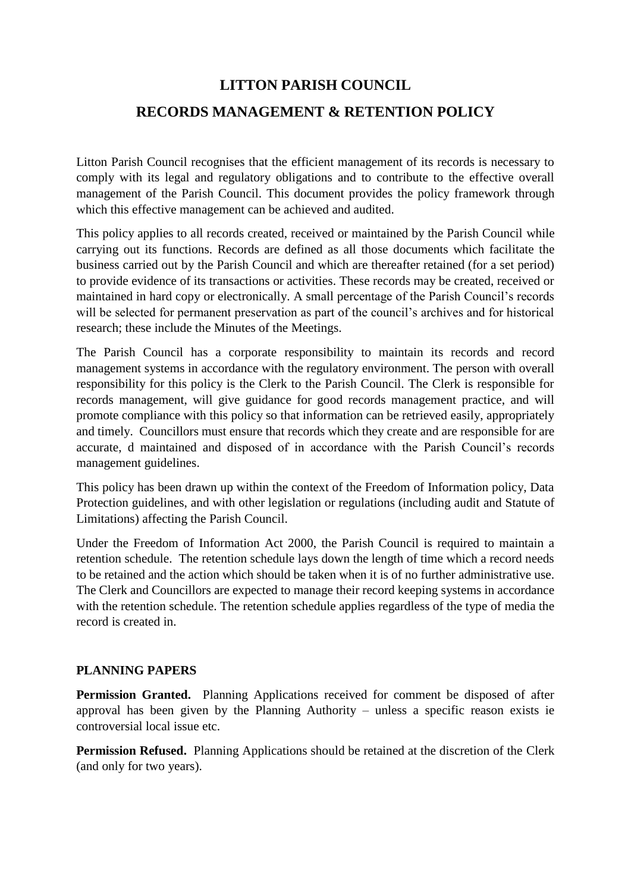## **LITTON PARISH COUNCIL RECORDS MANAGEMENT & RETENTION POLICY**

Litton Parish Council recognises that the efficient management of its records is necessary to comply with its legal and regulatory obligations and to contribute to the effective overall management of the Parish Council. This document provides the policy framework through which this effective management can be achieved and audited.

This policy applies to all records created, received or maintained by the Parish Council while carrying out its functions. Records are defined as all those documents which facilitate the business carried out by the Parish Council and which are thereafter retained (for a set period) to provide evidence of its transactions or activities. These records may be created, received or maintained in hard copy or electronically. A small percentage of the Parish Council's records will be selected for permanent preservation as part of the council's archives and for historical research; these include the Minutes of the Meetings.

The Parish Council has a corporate responsibility to maintain its records and record management systems in accordance with the regulatory environment. The person with overall responsibility for this policy is the Clerk to the Parish Council. The Clerk is responsible for records management, will give guidance for good records management practice, and will promote compliance with this policy so that information can be retrieved easily, appropriately and timely. Councillors must ensure that records which they create and are responsible for are accurate, d maintained and disposed of in accordance with the Parish Council's records management guidelines.

This policy has been drawn up within the context of the Freedom of Information policy, Data Protection guidelines, and with other legislation or regulations (including audit and Statute of Limitations) affecting the Parish Council.

Under the Freedom of Information Act 2000, the Parish Council is required to maintain a retention schedule. The retention schedule lays down the length of time which a record needs to be retained and the action which should be taken when it is of no further administrative use. The Clerk and Councillors are expected to manage their record keeping systems in accordance with the retention schedule. The retention schedule applies regardless of the type of media the record is created in.

## **PLANNING PAPERS**

**Permission Granted.** Planning Applications received for comment be disposed of after approval has been given by the Planning Authority – unless a specific reason exists ie controversial local issue etc.

**Permission Refused.** Planning Applications should be retained at the discretion of the Clerk (and only for two years).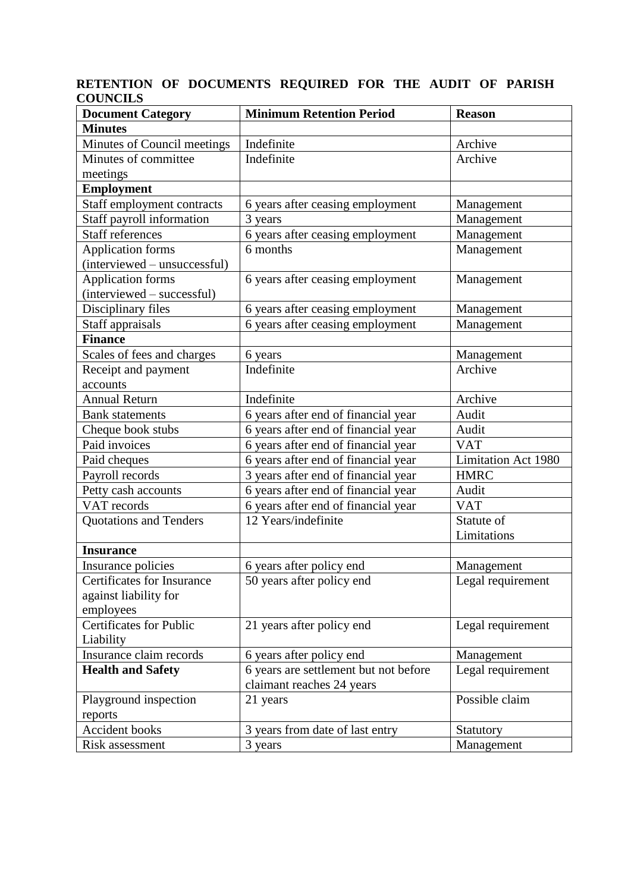## **RETENTION OF DOCUMENTS REQUIRED FOR THE AUDIT OF PARISH COUNCILS**

| <b>Document Category</b>       | <b>Minimum Retention Period</b>        | <b>Reason</b>       |
|--------------------------------|----------------------------------------|---------------------|
| <b>Minutes</b>                 |                                        |                     |
| Minutes of Council meetings    | Indefinite                             | Archive             |
| Minutes of committee           | Indefinite                             | Archive             |
| meetings                       |                                        |                     |
| <b>Employment</b>              |                                        |                     |
| Staff employment contracts     | 6 years after ceasing employment       | Management          |
| Staff payroll information      | 3 years                                | Management          |
| <b>Staff references</b>        | 6 years after ceasing employment       | Management          |
| <b>Application forms</b>       | 6 months                               | Management          |
| (interviewed – unsuccessful)   |                                        |                     |
| <b>Application forms</b>       | 6 years after ceasing employment       | Management          |
| (interviewed – successful)     |                                        |                     |
| Disciplinary files             | 6 years after ceasing employment       | Management          |
| Staff appraisals               | 6 years after ceasing employment       | Management          |
| <b>Finance</b>                 |                                        |                     |
| Scales of fees and charges     | 6 years                                | Management          |
| Receipt and payment            | Indefinite                             | Archive             |
| accounts                       |                                        |                     |
| <b>Annual Return</b>           | Indefinite                             | Archive             |
| <b>Bank</b> statements         | 6 years after end of financial year    | Audit               |
| Cheque book stubs              | 6 years after end of financial year    | Audit               |
| Paid invoices                  | 6 years after end of financial year    | <b>VAT</b>          |
| Paid cheques                   | 6 years after end of financial year    | Limitation Act 1980 |
| Payroll records                | 3 years after end of financial year    | <b>HMRC</b>         |
| Petty cash accounts            | 6 years after end of financial year    | Audit               |
| VAT records                    | 6 years after end of financial year    | <b>VAT</b>          |
| Quotations and Tenders         | 12 Years/indefinite                    | Statute of          |
|                                |                                        | Limitations         |
| <b>Insurance</b>               |                                        |                     |
| Insurance policies             | 6 years after policy end               | Management          |
| Certificates for Insurance     | $\overline{50}$ years after policy end | Legal requirement   |
| against liability for          |                                        |                     |
| employees                      |                                        |                     |
| <b>Certificates for Public</b> | 21 years after policy end              | Legal requirement   |
| Liability                      |                                        |                     |
| Insurance claim records        | 6 years after policy end               | Management          |
| <b>Health and Safety</b>       | 6 years are settlement but not before  | Legal requirement   |
|                                | claimant reaches 24 years              |                     |
| Playground inspection          | 21 years                               | Possible claim      |
| reports                        |                                        |                     |
| Accident books                 | 3 years from date of last entry        | Statutory           |
| Risk assessment                | 3 years                                | Management          |